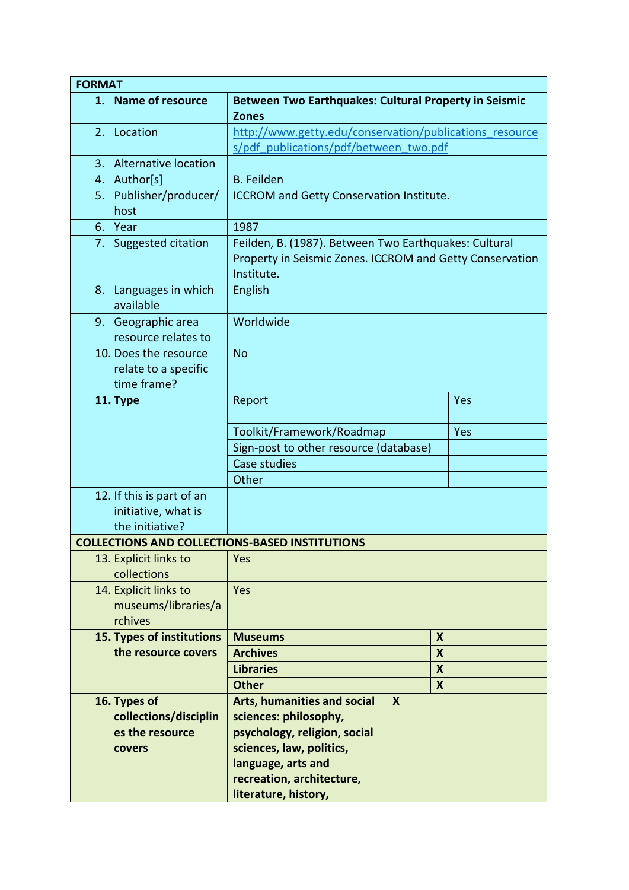| <b>FORMAT</b>                                                |                                                                                                                                 |  |   |  |
|--------------------------------------------------------------|---------------------------------------------------------------------------------------------------------------------------------|--|---|--|
| 1. Name of resource                                          | <b>Between Two Earthquakes: Cultural Property in Seismic</b><br><b>Zones</b>                                                    |  |   |  |
| 2. Location                                                  | http://www.getty.edu/conservation/publications resource                                                                         |  |   |  |
|                                                              | s/pdf publications/pdf/between two.pdf                                                                                          |  |   |  |
| 3. Alternative location                                      |                                                                                                                                 |  |   |  |
| 4. Author[s]                                                 | <b>B.</b> Feilden                                                                                                               |  |   |  |
| Publisher/producer/<br>5.<br>host                            | ICCROM and Getty Conservation Institute.                                                                                        |  |   |  |
| 6. Year                                                      | 1987                                                                                                                            |  |   |  |
| 7. Suggested citation                                        | Feilden, B. (1987). Between Two Earthquakes: Cultural<br>Property in Seismic Zones. ICCROM and Getty Conservation<br>Institute. |  |   |  |
| Languages in which<br>8.<br>available                        | English                                                                                                                         |  |   |  |
| 9. Geographic area<br>resource relates to                    | Worldwide                                                                                                                       |  |   |  |
| 10. Does the resource<br>relate to a specific<br>time frame? | <b>No</b>                                                                                                                       |  |   |  |
| 11. Type                                                     | Report<br>Yes                                                                                                                   |  |   |  |
|                                                              | Toolkit/Framework/Roadmap<br>Yes                                                                                                |  |   |  |
|                                                              | Sign-post to other resource (database)                                                                                          |  |   |  |
|                                                              | Case studies                                                                                                                    |  |   |  |
|                                                              | Other                                                                                                                           |  |   |  |
| 12. If this is part of an                                    |                                                                                                                                 |  |   |  |
| initiative, what is                                          |                                                                                                                                 |  |   |  |
| the initiative?                                              |                                                                                                                                 |  |   |  |
| <b>COLLECTIONS AND COLLECTIONS-BASED INSTITUTIONS</b>        |                                                                                                                                 |  |   |  |
| 13. Explicit links to<br>collections                         | Yes                                                                                                                             |  |   |  |
| 14. Explicit links to                                        | Yes                                                                                                                             |  |   |  |
| museums/libraries/a<br>rchives                               |                                                                                                                                 |  |   |  |
| 15. Types of institutions                                    | <b>Museums</b><br>X                                                                                                             |  |   |  |
| the resource covers                                          | <b>Archives</b><br>$\boldsymbol{x}$                                                                                             |  |   |  |
|                                                              | <b>Libraries</b><br>X                                                                                                           |  |   |  |
|                                                              | <b>Other</b>                                                                                                                    |  | X |  |
| 16. Types of                                                 | <b>Arts, humanities and social</b><br>$\boldsymbol{X}$                                                                          |  |   |  |
| collections/disciplin                                        | sciences: philosophy,                                                                                                           |  |   |  |
| es the resource                                              | psychology, religion, social                                                                                                    |  |   |  |
| covers                                                       | sciences, law, politics,                                                                                                        |  |   |  |
|                                                              | language, arts and                                                                                                              |  |   |  |
|                                                              | recreation, architecture,                                                                                                       |  |   |  |
|                                                              | literature, history,                                                                                                            |  |   |  |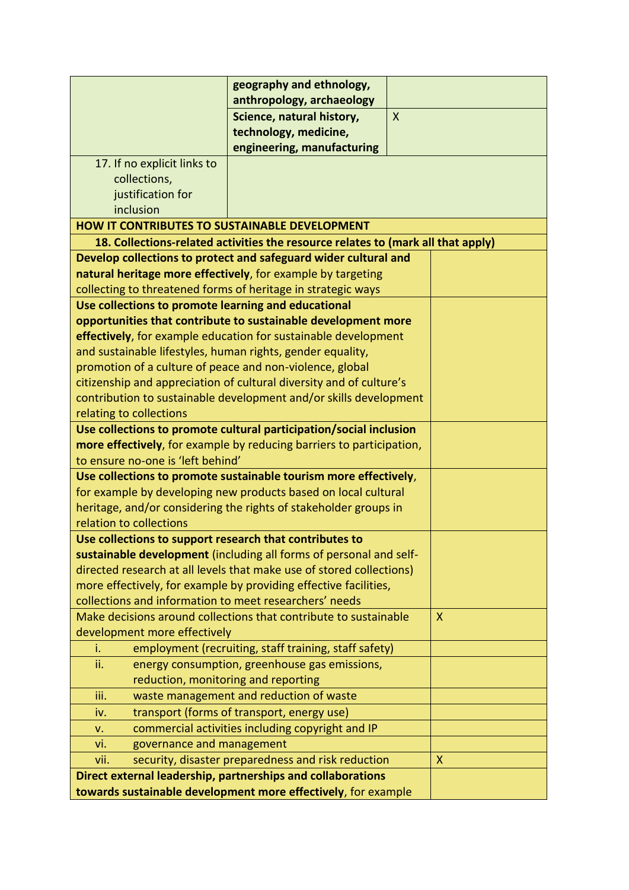|                                                                                                           | geography and ethnology,                                                         |              |  |
|-----------------------------------------------------------------------------------------------------------|----------------------------------------------------------------------------------|--------------|--|
|                                                                                                           | anthropology, archaeology                                                        |              |  |
|                                                                                                           | Science, natural history,                                                        | $\mathsf{X}$ |  |
|                                                                                                           | technology, medicine,                                                            |              |  |
|                                                                                                           | engineering, manufacturing                                                       |              |  |
| 17. If no explicit links to                                                                               |                                                                                  |              |  |
| collections,                                                                                              |                                                                                  |              |  |
| justification for                                                                                         |                                                                                  |              |  |
| inclusion                                                                                                 |                                                                                  |              |  |
| <b>HOW IT CONTRIBUTES TO SUSTAINABLE DEVELOPMENT</b>                                                      |                                                                                  |              |  |
|                                                                                                           | 18. Collections-related activities the resource relates to (mark all that apply) |              |  |
|                                                                                                           | Develop collections to protect and safeguard wider cultural and                  |              |  |
|                                                                                                           | natural heritage more effectively, for example by targeting                      |              |  |
|                                                                                                           | collecting to threatened forms of heritage in strategic ways                     |              |  |
| Use collections to promote learning and educational                                                       |                                                                                  |              |  |
|                                                                                                           | opportunities that contribute to sustainable development more                    |              |  |
|                                                                                                           | effectively, for example education for sustainable development                   |              |  |
| and sustainable lifestyles, human rights, gender equality,                                                |                                                                                  |              |  |
| promotion of a culture of peace and non-violence, global                                                  |                                                                                  |              |  |
|                                                                                                           | citizenship and appreciation of cultural diversity and of culture's              |              |  |
|                                                                                                           | contribution to sustainable development and/or skills development                |              |  |
| relating to collections                                                                                   |                                                                                  |              |  |
| Use collections to promote cultural participation/social inclusion                                        |                                                                                  |              |  |
| more effectively, for example by reducing barriers to participation,<br>to ensure no-one is 'left behind' |                                                                                  |              |  |
| Use collections to promote sustainable tourism more effectively,                                          |                                                                                  |              |  |
|                                                                                                           | for example by developing new products based on local cultural                   |              |  |
|                                                                                                           | heritage, and/or considering the rights of stakeholder groups in                 |              |  |
| relation to collections                                                                                   |                                                                                  |              |  |
| Use collections to support research that contributes to                                                   |                                                                                  |              |  |
|                                                                                                           | sustainable development (including all forms of personal and self-               |              |  |
|                                                                                                           | directed research at all levels that make use of stored collections)             |              |  |
| more effectively, for example by providing effective facilities,                                          |                                                                                  |              |  |
| collections and information to meet researchers' needs                                                    |                                                                                  |              |  |
| Make decisions around collections that contribute to sustainable                                          | $\mathsf{X}$                                                                     |              |  |
| development more effectively                                                                              |                                                                                  |              |  |
| i.                                                                                                        | employment (recruiting, staff training, staff safety)                            |              |  |
| ii.                                                                                                       | energy consumption, greenhouse gas emissions,                                    |              |  |
| reduction, monitoring and reporting                                                                       |                                                                                  |              |  |
| iii.                                                                                                      | waste management and reduction of waste                                          |              |  |
| iv.                                                                                                       | transport (forms of transport, energy use)                                       |              |  |
| v.                                                                                                        | commercial activities including copyright and IP                                 |              |  |
| governance and management<br>vi.                                                                          |                                                                                  |              |  |
| vii.                                                                                                      | security, disaster preparedness and risk reduction                               | X            |  |
|                                                                                                           | Direct external leadership, partnerships and collaborations                      |              |  |
|                                                                                                           | towards sustainable development more effectively, for example                    |              |  |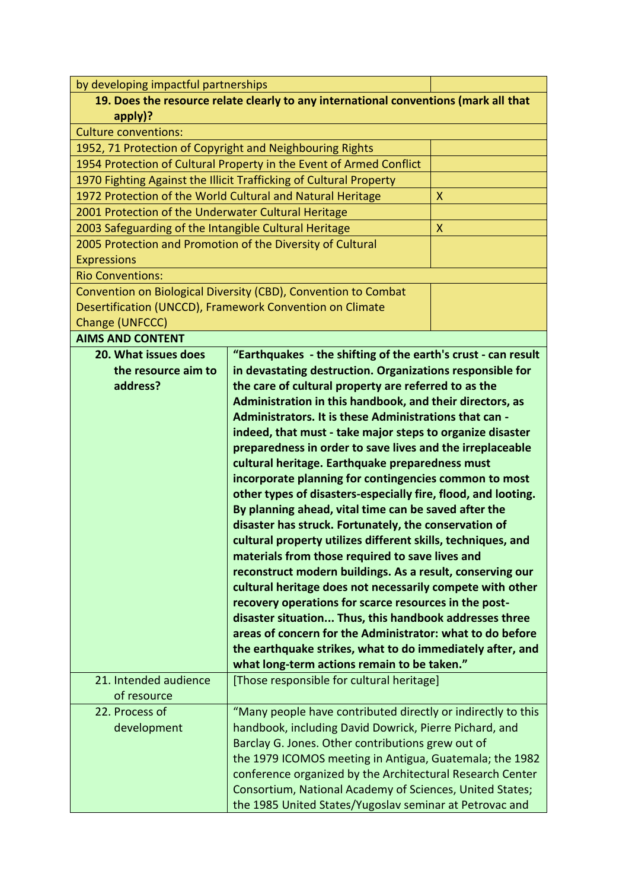|                                                           | by developing impactful partnerships                                                                                |                           |  |
|-----------------------------------------------------------|---------------------------------------------------------------------------------------------------------------------|---------------------------|--|
|                                                           | 19. Does the resource relate clearly to any international conventions (mark all that                                |                           |  |
| apply)?                                                   |                                                                                                                     |                           |  |
| <b>Culture conventions:</b>                               |                                                                                                                     |                           |  |
| 1952, 71 Protection of Copyright and Neighbouring Rights  |                                                                                                                     |                           |  |
|                                                           | 1954 Protection of Cultural Property in the Event of Armed Conflict                                                 |                           |  |
|                                                           | 1970 Fighting Against the Illicit Trafficking of Cultural Property                                                  |                           |  |
|                                                           | 1972 Protection of the World Cultural and Natural Heritage                                                          | $\boldsymbol{\mathsf{X}}$ |  |
| 2001 Protection of the Underwater Cultural Heritage       |                                                                                                                     |                           |  |
|                                                           | 2003 Safeguarding of the Intangible Cultural Heritage<br>$\boldsymbol{\mathsf{X}}$                                  |                           |  |
|                                                           | 2005 Protection and Promotion of the Diversity of Cultural                                                          |                           |  |
| <b>Expressions</b>                                        |                                                                                                                     |                           |  |
| <b>Rio Conventions:</b>                                   |                                                                                                                     |                           |  |
|                                                           | Convention on Biological Diversity (CBD), Convention to Combat                                                      |                           |  |
|                                                           | Desertification (UNCCD), Framework Convention on Climate                                                            |                           |  |
| Change (UNFCCC)                                           |                                                                                                                     |                           |  |
| <b>AIMS AND CONTENT</b>                                   |                                                                                                                     |                           |  |
| 20. What issues does                                      | "Earthquakes - the shifting of the earth's crust - can result                                                       |                           |  |
| the resource aim to                                       | in devastating destruction. Organizations responsible for                                                           |                           |  |
| address?                                                  | the care of cultural property are referred to as the                                                                |                           |  |
|                                                           | Administration in this handbook, and their directors, as                                                            |                           |  |
|                                                           | Administrators. It is these Administrations that can -                                                              |                           |  |
| indeed, that must - take major steps to organize disaster |                                                                                                                     |                           |  |
| preparedness in order to save lives and the irreplaceable |                                                                                                                     |                           |  |
|                                                           |                                                                                                                     |                           |  |
|                                                           | cultural heritage. Earthquake preparedness must                                                                     |                           |  |
|                                                           | incorporate planning for contingencies common to most                                                               |                           |  |
|                                                           | other types of disasters-especially fire, flood, and looting.                                                       |                           |  |
|                                                           | By planning ahead, vital time can be saved after the                                                                |                           |  |
|                                                           | disaster has struck. Fortunately, the conservation of                                                               |                           |  |
|                                                           | cultural property utilizes different skills, techniques, and                                                        |                           |  |
|                                                           |                                                                                                                     |                           |  |
|                                                           | materials from those required to save lives and                                                                     |                           |  |
|                                                           | reconstruct modern buildings. As a result, conserving our                                                           |                           |  |
|                                                           | cultural heritage does not necessarily compete with other                                                           |                           |  |
|                                                           | recovery operations for scarce resources in the post-                                                               |                           |  |
|                                                           | disaster situation Thus, this handbook addresses three                                                              |                           |  |
|                                                           | areas of concern for the Administrator: what to do before                                                           |                           |  |
|                                                           | the earthquake strikes, what to do immediately after, and                                                           |                           |  |
|                                                           | what long-term actions remain to be taken."                                                                         |                           |  |
| 21. Intended audience                                     | [Those responsible for cultural heritage]                                                                           |                           |  |
| of resource                                               |                                                                                                                     |                           |  |
| 22. Process of                                            | "Many people have contributed directly or indirectly to this                                                        |                           |  |
| development                                               | handbook, including David Dowrick, Pierre Pichard, and                                                              |                           |  |
|                                                           | Barclay G. Jones. Other contributions grew out of                                                                   |                           |  |
|                                                           | the 1979 ICOMOS meeting in Antigua, Guatemala; the 1982                                                             |                           |  |
|                                                           | conference organized by the Architectural Research Center                                                           |                           |  |
|                                                           | Consortium, National Academy of Sciences, United States;<br>the 1985 United States/Yugoslav seminar at Petrovac and |                           |  |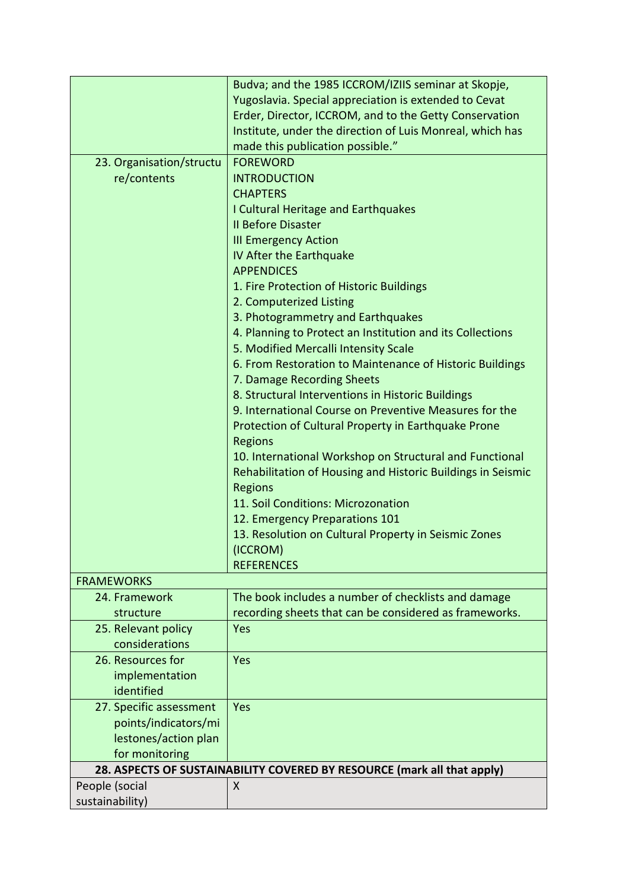|                          | Budva; and the 1985 ICCROM/IZIIS seminar at Skopje,                     |  |  |
|--------------------------|-------------------------------------------------------------------------|--|--|
|                          | Yugoslavia. Special appreciation is extended to Cevat                   |  |  |
|                          | Erder, Director, ICCROM, and to the Getty Conservation                  |  |  |
|                          | Institute, under the direction of Luis Monreal, which has               |  |  |
|                          | made this publication possible."                                        |  |  |
| 23. Organisation/structu | <b>FOREWORD</b>                                                         |  |  |
| re/contents              | <b>INTRODUCTION</b>                                                     |  |  |
|                          | <b>CHAPTERS</b>                                                         |  |  |
|                          |                                                                         |  |  |
|                          | I Cultural Heritage and Earthquakes                                     |  |  |
|                          | <b>Il Before Disaster</b>                                               |  |  |
|                          | <b>III Emergency Action</b>                                             |  |  |
|                          | IV After the Earthquake                                                 |  |  |
|                          | <b>APPENDICES</b>                                                       |  |  |
|                          | 1. Fire Protection of Historic Buildings                                |  |  |
|                          | 2. Computerized Listing                                                 |  |  |
|                          | 3. Photogrammetry and Earthquakes                                       |  |  |
|                          | 4. Planning to Protect an Institution and its Collections               |  |  |
|                          | 5. Modified Mercalli Intensity Scale                                    |  |  |
|                          | 6. From Restoration to Maintenance of Historic Buildings                |  |  |
|                          | 7. Damage Recording Sheets                                              |  |  |
|                          | 8. Structural Interventions in Historic Buildings                       |  |  |
|                          | 9. International Course on Preventive Measures for the                  |  |  |
|                          | Protection of Cultural Property in Earthquake Prone                     |  |  |
|                          | <b>Regions</b>                                                          |  |  |
|                          | 10. International Workshop on Structural and Functional                 |  |  |
|                          | Rehabilitation of Housing and Historic Buildings in Seismic             |  |  |
|                          | Regions                                                                 |  |  |
|                          | 11. Soil Conditions: Microzonation                                      |  |  |
|                          | 12. Emergency Preparations 101                                          |  |  |
|                          | 13. Resolution on Cultural Property in Seismic Zones                    |  |  |
|                          | (ICCROM)                                                                |  |  |
|                          | <b>REFERENCES</b>                                                       |  |  |
| <b>FRAMEWORKS</b>        |                                                                         |  |  |
| 24. Framework            | The book includes a number of checklists and damage                     |  |  |
| structure                | recording sheets that can be considered as frameworks.                  |  |  |
| 25. Relevant policy      | Yes                                                                     |  |  |
| considerations           |                                                                         |  |  |
| 26. Resources for        | Yes                                                                     |  |  |
| implementation           |                                                                         |  |  |
| identified               |                                                                         |  |  |
| 27. Specific assessment  | Yes                                                                     |  |  |
| points/indicators/mi     |                                                                         |  |  |
| lestones/action plan     |                                                                         |  |  |
| for monitoring           |                                                                         |  |  |
|                          |                                                                         |  |  |
|                          | 28. ASPECTS OF SUSTAINABILITY COVERED BY RESOURCE (mark all that apply) |  |  |
| People (social           | X                                                                       |  |  |
| sustainability)          |                                                                         |  |  |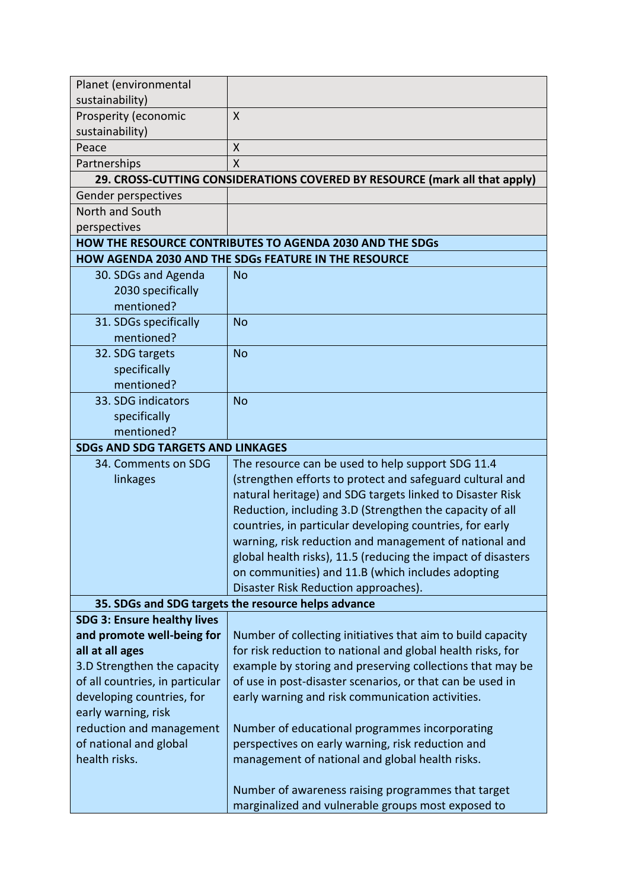| Planet (environmental                               |                                                                            |  |  |
|-----------------------------------------------------|----------------------------------------------------------------------------|--|--|
| sustainability)                                     |                                                                            |  |  |
| Prosperity (economic                                | X                                                                          |  |  |
| sustainability)                                     |                                                                            |  |  |
| Peace                                               | X                                                                          |  |  |
| Partnerships                                        | X                                                                          |  |  |
|                                                     | 29. CROSS-CUTTING CONSIDERATIONS COVERED BY RESOURCE (mark all that apply) |  |  |
| Gender perspectives                                 |                                                                            |  |  |
| North and South                                     |                                                                            |  |  |
| perspectives                                        |                                                                            |  |  |
|                                                     | <b>HOW THE RESOURCE CONTRIBUTES TO AGENDA 2030 AND THE SDGs</b>            |  |  |
|                                                     | HOW AGENDA 2030 AND THE SDGs FEATURE IN THE RESOURCE                       |  |  |
| 30. SDGs and Agenda                                 | <b>No</b>                                                                  |  |  |
| 2030 specifically                                   |                                                                            |  |  |
| mentioned?                                          |                                                                            |  |  |
| 31. SDGs specifically                               | <b>No</b>                                                                  |  |  |
| mentioned?                                          |                                                                            |  |  |
| 32. SDG targets                                     | <b>No</b>                                                                  |  |  |
| specifically                                        |                                                                            |  |  |
| mentioned?                                          |                                                                            |  |  |
| 33. SDG indicators                                  | <b>No</b>                                                                  |  |  |
| specifically                                        |                                                                            |  |  |
| mentioned?                                          |                                                                            |  |  |
| <b>SDGs AND SDG TARGETS AND LINKAGES</b>            |                                                                            |  |  |
| 34. Comments on SDG                                 | The resource can be used to help support SDG 11.4                          |  |  |
| linkages                                            | (strengthen efforts to protect and safeguard cultural and                  |  |  |
|                                                     | natural heritage) and SDG targets linked to Disaster Risk                  |  |  |
|                                                     | Reduction, including 3.D (Strengthen the capacity of all                   |  |  |
|                                                     | countries, in particular developing countries, for early                   |  |  |
|                                                     | warning, risk reduction and management of national and                     |  |  |
|                                                     | global health risks), 11.5 (reducing the impact of disasters               |  |  |
|                                                     | on communities) and 11.B (which includes adopting                          |  |  |
|                                                     | Disaster Risk Reduction approaches).                                       |  |  |
| 35. SDGs and SDG targets the resource helps advance |                                                                            |  |  |
| <b>SDG 3: Ensure healthy lives</b>                  |                                                                            |  |  |
| and promote well-being for                          | Number of collecting initiatives that aim to build capacity                |  |  |
| all at all ages                                     | for risk reduction to national and global health risks, for                |  |  |
| 3.D Strengthen the capacity                         | example by storing and preserving collections that may be                  |  |  |
| of all countries, in particular                     | of use in post-disaster scenarios, or that can be used in                  |  |  |
| developing countries, for                           | early warning and risk communication activities.                           |  |  |
| early warning, risk                                 |                                                                            |  |  |
| reduction and management                            | Number of educational programmes incorporating                             |  |  |
| of national and global                              | perspectives on early warning, risk reduction and                          |  |  |
| health risks.                                       | management of national and global health risks.                            |  |  |
|                                                     |                                                                            |  |  |
|                                                     | Number of awareness raising programmes that target                         |  |  |
|                                                     | marginalized and vulnerable groups most exposed to                         |  |  |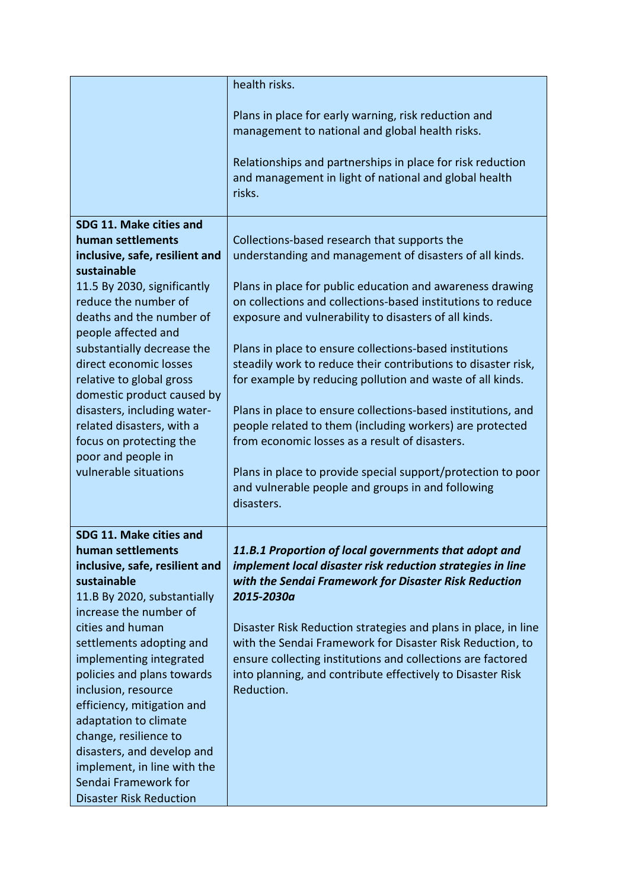|                                                                                                                                                                                                                                                                                                                                                                                                                                                                                               | health risks.<br>Plans in place for early warning, risk reduction and<br>management to national and global health risks.<br>Relationships and partnerships in place for risk reduction<br>and management in light of national and global health<br>risks.                                                                                                                                                                                                                                                                                                                                                                                                                                                                                                                                              |
|-----------------------------------------------------------------------------------------------------------------------------------------------------------------------------------------------------------------------------------------------------------------------------------------------------------------------------------------------------------------------------------------------------------------------------------------------------------------------------------------------|--------------------------------------------------------------------------------------------------------------------------------------------------------------------------------------------------------------------------------------------------------------------------------------------------------------------------------------------------------------------------------------------------------------------------------------------------------------------------------------------------------------------------------------------------------------------------------------------------------------------------------------------------------------------------------------------------------------------------------------------------------------------------------------------------------|
| SDG 11. Make cities and<br>human settlements<br>inclusive, safe, resilient and<br>sustainable<br>11.5 By 2030, significantly<br>reduce the number of<br>deaths and the number of<br>people affected and<br>substantially decrease the<br>direct economic losses<br>relative to global gross<br>domestic product caused by<br>disasters, including water-<br>related disasters, with a<br>focus on protecting the<br>poor and people in<br>vulnerable situations                               | Collections-based research that supports the<br>understanding and management of disasters of all kinds.<br>Plans in place for public education and awareness drawing<br>on collections and collections-based institutions to reduce<br>exposure and vulnerability to disasters of all kinds.<br>Plans in place to ensure collections-based institutions<br>steadily work to reduce their contributions to disaster risk,<br>for example by reducing pollution and waste of all kinds.<br>Plans in place to ensure collections-based institutions, and<br>people related to them (including workers) are protected<br>from economic losses as a result of disasters.<br>Plans in place to provide special support/protection to poor<br>and vulnerable people and groups in and following<br>disasters. |
| SDG 11. Make cities and<br>human settlements<br>inclusive, safe, resilient and<br>sustainable<br>11.B By 2020, substantially<br>increase the number of<br>cities and human<br>settlements adopting and<br>implementing integrated<br>policies and plans towards<br>inclusion, resource<br>efficiency, mitigation and<br>adaptation to climate<br>change, resilience to<br>disasters, and develop and<br>implement, in line with the<br>Sendai Framework for<br><b>Disaster Risk Reduction</b> | 11.B.1 Proportion of local governments that adopt and<br>implement local disaster risk reduction strategies in line<br>with the Sendai Framework for Disaster Risk Reduction<br>2015-2030a<br>Disaster Risk Reduction strategies and plans in place, in line<br>with the Sendai Framework for Disaster Risk Reduction, to<br>ensure collecting institutions and collections are factored<br>into planning, and contribute effectively to Disaster Risk<br>Reduction.                                                                                                                                                                                                                                                                                                                                   |